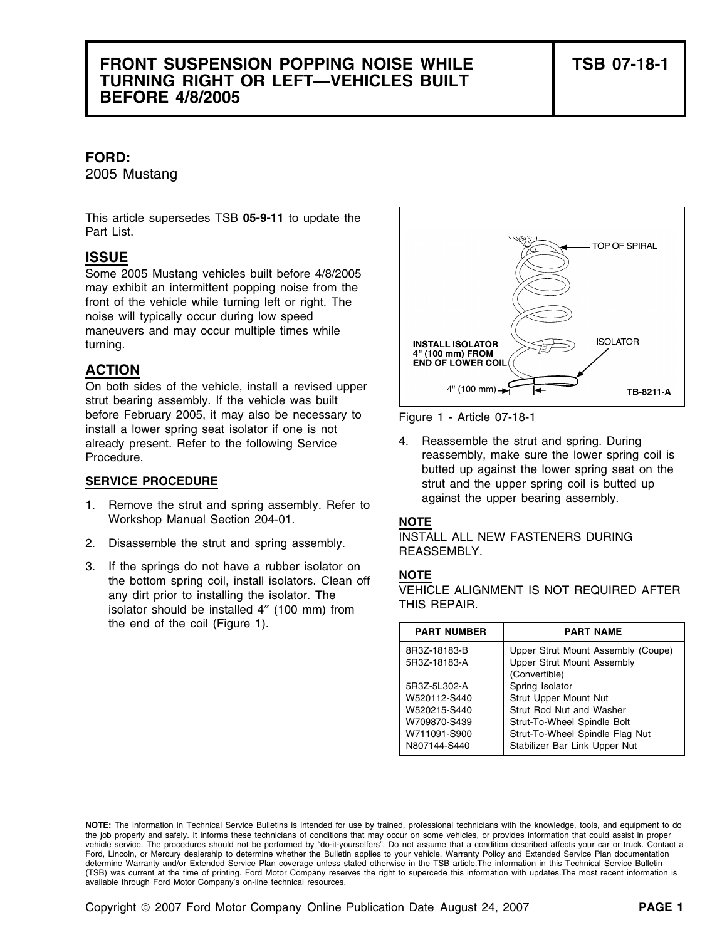## **FRONT SUSPENSION POPPING NOISE WHILE TSB 07-18-1 TURNING RIGHT OR LEFT—VEHICLES BUILT BEFORE 4/8/2005**

### **FORD:**

2005 Mustang

This article supersedes TSB **05-9-11** to update the Part List.

### **ISSUE**

Some 2005 Mustang vehicles built before 4/8/2005 may exhibit an intermittent popping noise from the front of the vehicle while turning left or right. The noise will typically occur during low speed maneuvers and may occur multiple times while turning.

### **ACTION**

On both sides of the vehicle, install a revised upper strut bearing assembly. If the vehicle was built before February 2005, it may also be necessary to Figure 1 - Article 07-18-1 install a lower spring seat isolator if one is not already present. Refer to the following Service 4. Reassemble the strut and spring. During Procedure. The reassembly, make sure the lower spring coil is

- 1. Remove the strut and spring assembly. Refer to against the upper bearing assembly. Workshop Manual Section 204-01. **NOTE**
- 
- 3. If the springs do not have a rubber isolator on<br>the bottom spring coil, install isolators. Clean off<br>any dirt prior to installing the isolator. The<br>isolator should be installed 4" (100 mm) from<br>THIS REPAIR. the end of the coil (Figure 1).



butted up against the lower spring seat on the **SERVICE PROCEDURE** SERVICE **PROCEDURE** strut and the upper spring coil is butted up

2. Disassemble the strut and spring assembly. **INSTALL ALL NEW FASTENERS DURING** 

| <b>PART NUMBER</b> | <b>PART NAME</b>                                   |
|--------------------|----------------------------------------------------|
| 8R3Z-18183-B       | Upper Strut Mount Assembly (Coupe)                 |
| 5R3Z-18183-A       | <b>Upper Strut Mount Assembly</b><br>(Convertible) |
| 5R3Z-5L302-A       | Spring Isolator                                    |
| W520112-S440       | Strut Upper Mount Nut                              |
| W520215-S440       | Strut Rod Nut and Washer                           |
| W709870-S439       | Strut-To-Wheel Spindle Bolt                        |
| W711091-S900       | Strut-To-Wheel Spindle Flag Nut                    |
| N807144-S440       | Stabilizer Bar Link Upper Nut                      |

**NOTE:** The information in Technical Service Bulletins is intended for use by trained, professional technicians with the knowledge, tools, and equipment to do the job properly and safely. It informs these technicians of conditions that may occur on some vehicles, or provides information that could assist in proper vehicle service. The procedures should not be performed by "do-it-yourselfers". Do not assume that a condition described affects your car or truck. Contact a Ford, Lincoln, or Mercury dealership to determine whether the Bulletin applies to your vehicle. Warranty Policy and Extended Service Plan documentation determine Warranty and/or Extended Service Plan coverage unless stated otherwise in the TSB article.The information in this Technical Service Bulletin (TSB) was current at the time of printing. Ford Motor Company reserves the right to supercede this information with updates.The most recent information is available through Ford Motor Company's on-line technical resources.